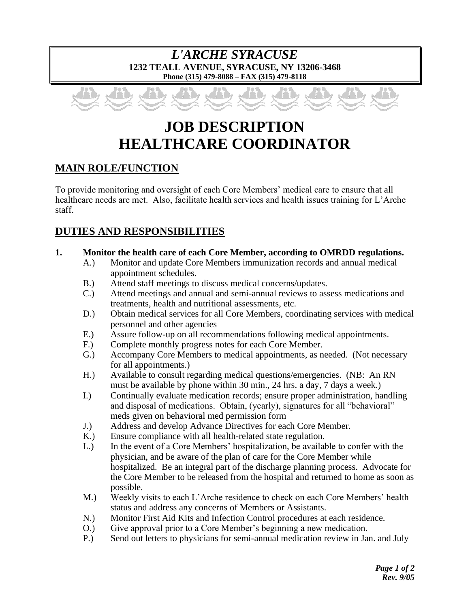### *L'ARCHE SYRACUSE* **1232 TEALL AVENUE, SYRACUSE, NY 13206-3468 Phone (315) 479-8088 – FAX (315) 479-8118**



# **JOB DESCRIPTION HEALTHCARE COORDINATOR**

# **MAIN ROLE/FUNCTION**

To provide monitoring and oversight of each Core Members' medical care to ensure that all healthcare needs are met. Also, facilitate health services and health issues training for L'Arche staff.

# **DUTIES AND RESPONSIBILITIES**

#### **1. Monitor the health care of each Core Member, according to OMRDD regulations.**

- A.) Monitor and update Core Members immunization records and annual medical appointment schedules.
- B.) Attend staff meetings to discuss medical concerns/updates.
- C.) Attend meetings and annual and semi-annual reviews to assess medications and treatments, health and nutritional assessments, etc.
- D.) Obtain medical services for all Core Members, coordinating services with medical personnel and other agencies
- E.) Assure follow-up on all recommendations following medical appointments.
- F.) Complete monthly progress notes for each Core Member.
- G.) Accompany Core Members to medical appointments, as needed. (Not necessary for all appointments.)
- H.) Available to consult regarding medical questions/emergencies. (NB: An RN must be available by phone within 30 min., 24 hrs. a day, 7 days a week.)
- I.) Continually evaluate medication records; ensure proper administration, handling and disposal of medications. Obtain, (yearly), signatures for all "behavioral" meds given on behavioral med permission form
- J.) Address and develop Advance Directives for each Core Member.
- K.) Ensure compliance with all health-related state regulation.
- L.) In the event of a Core Members' hospitalization, be available to confer with the physician, and be aware of the plan of care for the Core Member while hospitalized. Be an integral part of the discharge planning process. Advocate for the Core Member to be released from the hospital and returned to home as soon as possible.
- M.) Weekly visits to each L'Arche residence to check on each Core Members' health status and address any concerns of Members or Assistants.
- N.) Monitor First Aid Kits and Infection Control procedures at each residence.
- O.) Give approval prior to a Core Member's beginning a new medication.
- P.) Send out letters to physicians for semi-annual medication review in Jan. and July